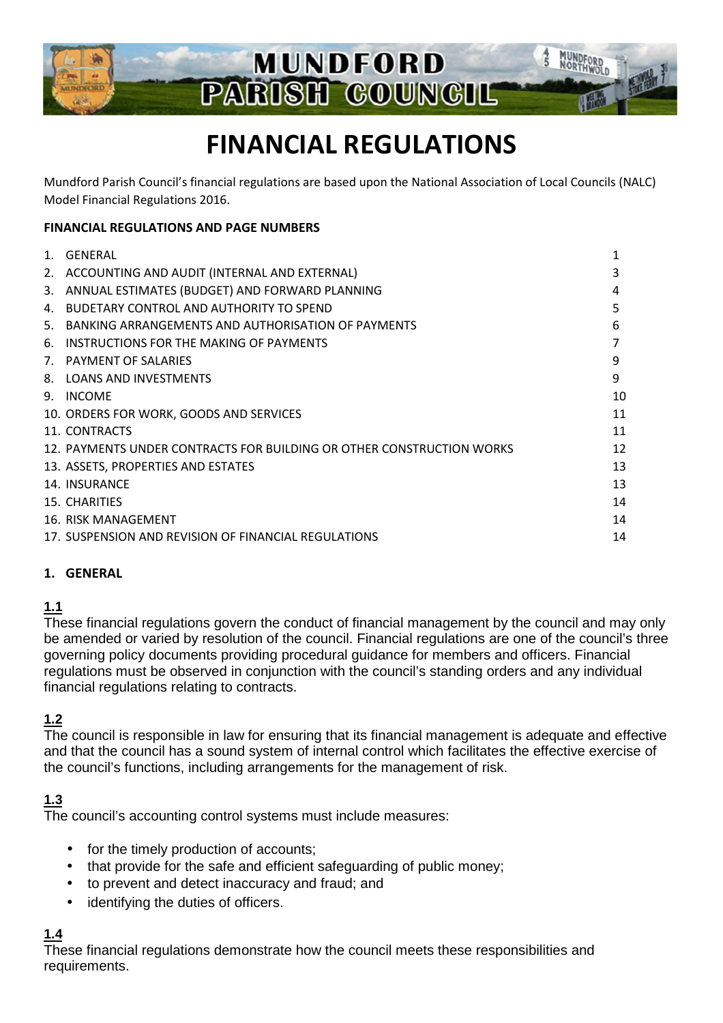

# **FINANCIAL REGULATIONS**

Mundford Parish Council's financial regulations are based upon the National Association of Local Councils (NALC) Model Financial Regulations 2016.

#### **FINANCIAL REGULATIONS AND PAGE NUMBERS**

| $1_{-}$ | GFNFRAL                                                               |    |
|---------|-----------------------------------------------------------------------|----|
| 2.      | ACCOUNTING AND AUDIT (INTERNAL AND EXTERNAL)                          | 3  |
| 3.      | ANNUAL ESTIMATES (BUDGET) AND FORWARD PLANNING                        | 4  |
| 4.      | BUDETARY CONTROL AND AUTHORITY TO SPEND                               | 5  |
| 5.      | BANKING ARRANGEMENTS AND AUTHORISATION OF PAYMENTS                    | 6  |
| 6.      | INSTRUCTIONS FOR THE MAKING OF PAYMENTS                               |    |
|         | 7. PAYMENT OF SALARIES                                                | 9  |
| 8.      | <b>LOANS AND INVESTMENTS</b>                                          | 9  |
| 9.      | <b>INCOME</b>                                                         | 10 |
|         | 10. ORDERS FOR WORK, GOODS AND SERVICES                               | 11 |
|         | 11. CONTRACTS                                                         | 11 |
|         | 12. PAYMENTS UNDER CONTRACTS FOR BUILDING OR OTHER CONSTRUCTION WORKS | 12 |
|         | 13. ASSETS, PROPERTIES AND ESTATES                                    | 13 |
|         | 14. INSURANCE                                                         | 13 |
|         | 15. CHARITIES                                                         | 14 |
|         | 16. RISK MANAGEMENT                                                   | 14 |
|         | 17. SUSPENSION AND REVISION OF FINANCIAL REGULATIONS                  | 14 |
|         |                                                                       |    |

#### **1. GENERAL**

## **1.1**

These financial regulations govern the conduct of financial management by the council and may only be amended or varied by resolution of the council. Financial regulations are one of the council's three governing policy documents providing procedural guidance for members and officers. Financial regulations must be observed in conjunction with the council's standing orders and any individual financial regulations relating to contracts.

#### **1.2**

The council is responsible in law for ensuring that its financial management is adequate and effective and that the council has a sound system of internal control which facilitates the effective exercise of the council's functions, including arrangements for the management of risk.

## **1.3**

The council's accounting control systems must include measures:

- for the timely production of accounts;
- that provide for the safe and efficient safeguarding of public money;
- to prevent and detect inaccuracy and fraud; and
- identifying the duties of officers.

## **1.4**

These financial regulations demonstrate how the council meets these responsibilities and requirements.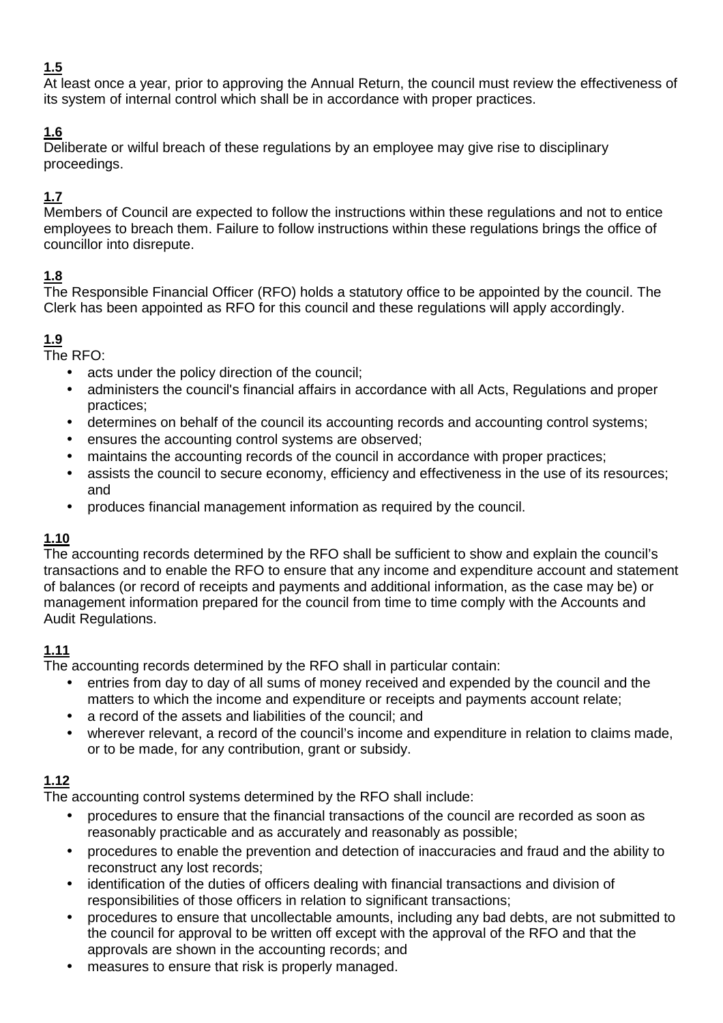At least once a year, prior to approving the Annual Return, the council must review the effectiveness of its system of internal control which shall be in accordance with proper practices.

# **1.6**

Deliberate or wilful breach of these regulations by an employee may give rise to disciplinary proceedings.

# **1.7**

Members of Council are expected to follow the instructions within these regulations and not to entice employees to breach them. Failure to follow instructions within these regulations brings the office of councillor into disrepute.

# **1.8**

The Responsible Financial Officer (RFO) holds a statutory office to be appointed by the council. The Clerk has been appointed as RFO for this council and these regulations will apply accordingly.

# **1.9**

The RFO:

- acts under the policy direction of the council;
- administers the council's financial affairs in accordance with all Acts, Regulations and proper practices;
- determines on behalf of the council its accounting records and accounting control systems;
- ensures the accounting control systems are observed;
- maintains the accounting records of the council in accordance with proper practices;
- assists the council to secure economy, efficiency and effectiveness in the use of its resources; and
- produces financial management information as required by the council.

# **1.10**

The accounting records determined by the RFO shall be sufficient to show and explain the council's transactions and to enable the RFO to ensure that any income and expenditure account and statement of balances (or record of receipts and payments and additional information, as the case may be) or management information prepared for the council from time to time comply with the Accounts and Audit Regulations.

# **1.11**

The accounting records determined by the RFO shall in particular contain:

- entries from day to day of all sums of money received and expended by the council and the matters to which the income and expenditure or receipts and payments account relate;
- a record of the assets and liabilities of the council: and
- wherever relevant, a record of the council's income and expenditure in relation to claims made, or to be made, for any contribution, grant or subsidy.

# **1.12**

The accounting control systems determined by the RFO shall include:

- procedures to ensure that the financial transactions of the council are recorded as soon as reasonably practicable and as accurately and reasonably as possible;
- procedures to enable the prevention and detection of inaccuracies and fraud and the ability to reconstruct any lost records;
- identification of the duties of officers dealing with financial transactions and division of responsibilities of those officers in relation to significant transactions;
- procedures to ensure that uncollectable amounts, including any bad debts, are not submitted to the council for approval to be written off except with the approval of the RFO and that the approvals are shown in the accounting records; and
- measures to ensure that risk is properly managed.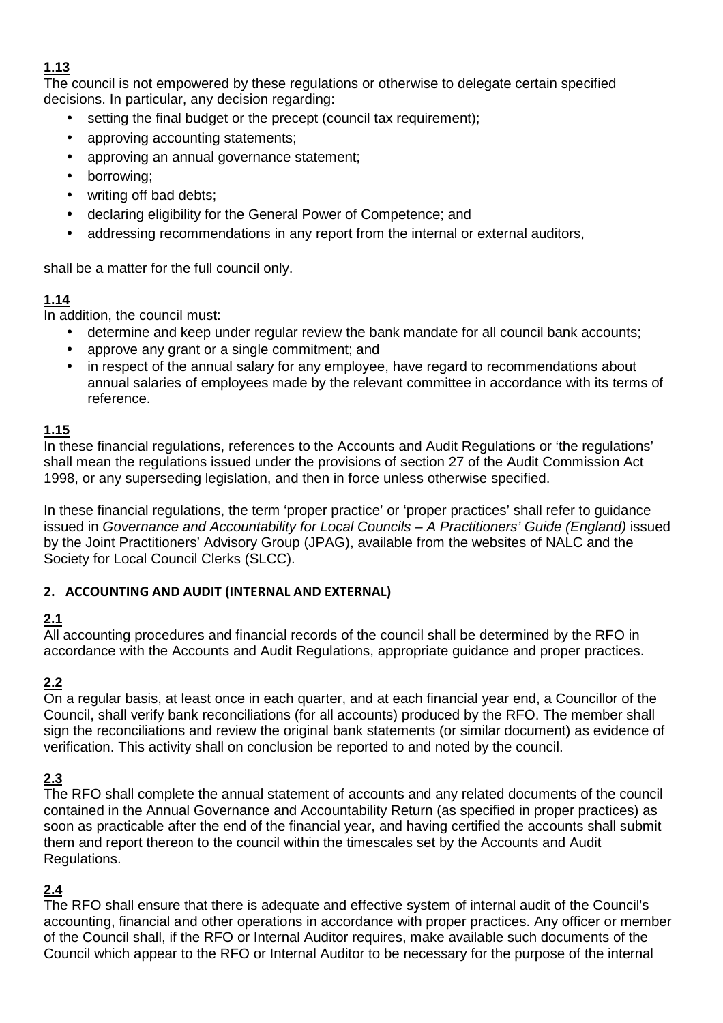The council is not empowered by these regulations or otherwise to delegate certain specified decisions. In particular, any decision regarding:

- setting the final budget or the precept (council tax requirement):
- approving accounting statements;
- approving an annual governance statement;
- borrowing;
- writing off bad debts;
- declaring eligibility for the General Power of Competence; and
- addressing recommendations in any report from the internal or external auditors,

shall be a matter for the full council only.

## **1.14**

In addition, the council must:

- determine and keep under regular review the bank mandate for all council bank accounts;
- approve any grant or a single commitment; and
- in respect of the annual salary for any employee, have regard to recommendations about annual salaries of employees made by the relevant committee in accordance with its terms of reference.

#### **1.15**

In these financial regulations, references to the Accounts and Audit Regulations or 'the regulations' shall mean the regulations issued under the provisions of section 27 of the Audit Commission Act 1998, or any superseding legislation, and then in force unless otherwise specified.

In these financial regulations, the term 'proper practice' or 'proper practices' shall refer to guidance issued in Governance and Accountability for Local Councils – A Practitioners' Guide (England) issued by the Joint Practitioners' Advisory Group (JPAG), available from the websites of NALC and the Society for Local Council Clerks (SLCC).

#### **2. ACCOUNTING AND AUDIT (INTERNAL AND EXTERNAL)**

## **2.1**

All accounting procedures and financial records of the council shall be determined by the RFO in accordance with the Accounts and Audit Regulations, appropriate guidance and proper practices.

# **2.2**

On a regular basis, at least once in each quarter, and at each financial year end, a Councillor of the Council, shall verify bank reconciliations (for all accounts) produced by the RFO. The member shall sign the reconciliations and review the original bank statements (or similar document) as evidence of verification. This activity shall on conclusion be reported to and noted by the council.

## **2.3**

The RFO shall complete the annual statement of accounts and any related documents of the council contained in the Annual Governance and Accountability Return (as specified in proper practices) as soon as practicable after the end of the financial year, and having certified the accounts shall submit them and report thereon to the council within the timescales set by the Accounts and Audit Regulations.

## **2.4**

The RFO shall ensure that there is adequate and effective system of internal audit of the Council's accounting, financial and other operations in accordance with proper practices. Any officer or member of the Council shall, if the RFO or Internal Auditor requires, make available such documents of the Council which appear to the RFO or Internal Auditor to be necessary for the purpose of the internal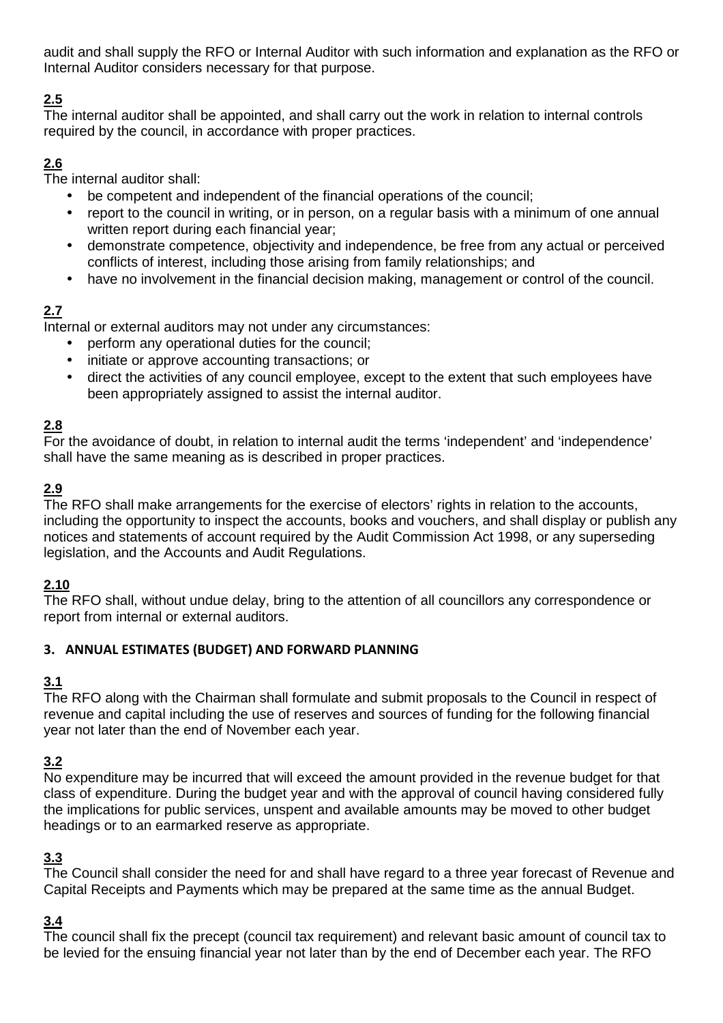audit and shall supply the RFO or Internal Auditor with such information and explanation as the RFO or Internal Auditor considers necessary for that purpose.

# **2.5**

The internal auditor shall be appointed, and shall carry out the work in relation to internal controls required by the council, in accordance with proper practices.

# **2.6**

The internal auditor shall:

- be competent and independent of the financial operations of the council;
- report to the council in writing, or in person, on a regular basis with a minimum of one annual written report during each financial year;
- demonstrate competence, objectivity and independence, be free from any actual or perceived conflicts of interest, including those arising from family relationships; and
- have no involvement in the financial decision making, management or control of the council.

# **2.7**

Internal or external auditors may not under any circumstances:

- perform any operational duties for the council;
- initiate or approve accounting transactions; or
- direct the activities of any council employee, except to the extent that such employees have been appropriately assigned to assist the internal auditor.

## **2.8**

For the avoidance of doubt, in relation to internal audit the terms 'independent' and 'independence' shall have the same meaning as is described in proper practices.

## **2.9**

The RFO shall make arrangements for the exercise of electors' rights in relation to the accounts, including the opportunity to inspect the accounts, books and vouchers, and shall display or publish any notices and statements of account required by the Audit Commission Act 1998, or any superseding legislation, and the Accounts and Audit Regulations.

## **2.10**

The RFO shall, without undue delay, bring to the attention of all councillors any correspondence or report from internal or external auditors.

## **3. ANNUAL ESTIMATES (BUDGET) AND FORWARD PLANNING**

# **3.1**

The RFO along with the Chairman shall formulate and submit proposals to the Council in respect of revenue and capital including the use of reserves and sources of funding for the following financial year not later than the end of November each year.

## **3.2**

No expenditure may be incurred that will exceed the amount provided in the revenue budget for that class of expenditure. During the budget year and with the approval of council having considered fully the implications for public services, unspent and available amounts may be moved to other budget headings or to an earmarked reserve as appropriate.

## **3.3**

The Council shall consider the need for and shall have regard to a three year forecast of Revenue and Capital Receipts and Payments which may be prepared at the same time as the annual Budget.

# **3.4**

The council shall fix the precept (council tax requirement) and relevant basic amount of council tax to be levied for the ensuing financial year not later than by the end of December each year. The RFO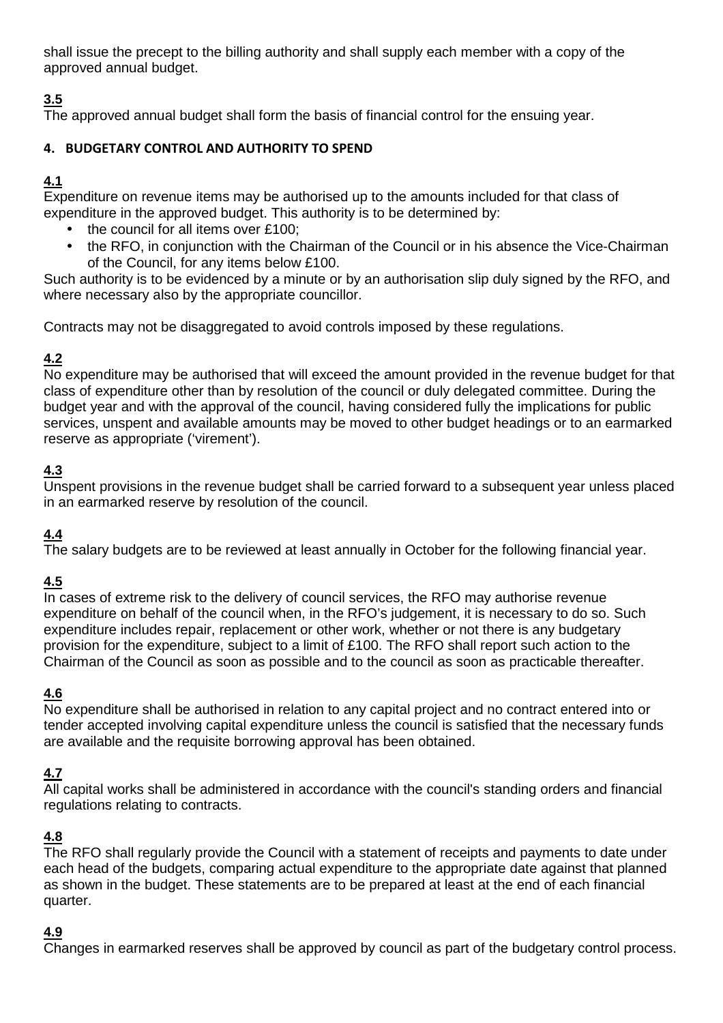shall issue the precept to the billing authority and shall supply each member with a copy of the approved annual budget.

# **3.5**

The approved annual budget shall form the basis of financial control for the ensuing year.

#### **4. BUDGETARY CONTROL AND AUTHORITY TO SPEND**

# **4.1**

Expenditure on revenue items may be authorised up to the amounts included for that class of expenditure in the approved budget. This authority is to be determined by:

- the council for all items over £100;
- the RFO, in conjunction with the Chairman of the Council or in his absence the Vice-Chairman of the Council, for any items below £100.

Such authority is to be evidenced by a minute or by an authorisation slip duly signed by the RFO, and where necessary also by the appropriate councillor.

Contracts may not be disaggregated to avoid controls imposed by these regulations.

## **4.2**

No expenditure may be authorised that will exceed the amount provided in the revenue budget for that class of expenditure other than by resolution of the council or duly delegated committee. During the budget year and with the approval of the council, having considered fully the implications for public services, unspent and available amounts may be moved to other budget headings or to an earmarked reserve as appropriate ('virement').

# **4.3**

Unspent provisions in the revenue budget shall be carried forward to a subsequent year unless placed in an earmarked reserve by resolution of the council.

# **4.4**

The salary budgets are to be reviewed at least annually in October for the following financial year.

## **4.5**

In cases of extreme risk to the delivery of council services, the RFO may authorise revenue expenditure on behalf of the council when, in the RFO's judgement, it is necessary to do so. Such expenditure includes repair, replacement or other work, whether or not there is any budgetary provision for the expenditure, subject to a limit of £100. The RFO shall report such action to the Chairman of the Council as soon as possible and to the council as soon as practicable thereafter.

## **4.6**

No expenditure shall be authorised in relation to any capital project and no contract entered into or tender accepted involving capital expenditure unless the council is satisfied that the necessary funds are available and the requisite borrowing approval has been obtained.

## **4.7**

All capital works shall be administered in accordance with the council's standing orders and financial regulations relating to contracts.

## **4.8**

The RFO shall regularly provide the Council with a statement of receipts and payments to date under each head of the budgets, comparing actual expenditure to the appropriate date against that planned as shown in the budget. These statements are to be prepared at least at the end of each financial quarter.

#### **4.9**

Changes in earmarked reserves shall be approved by council as part of the budgetary control process.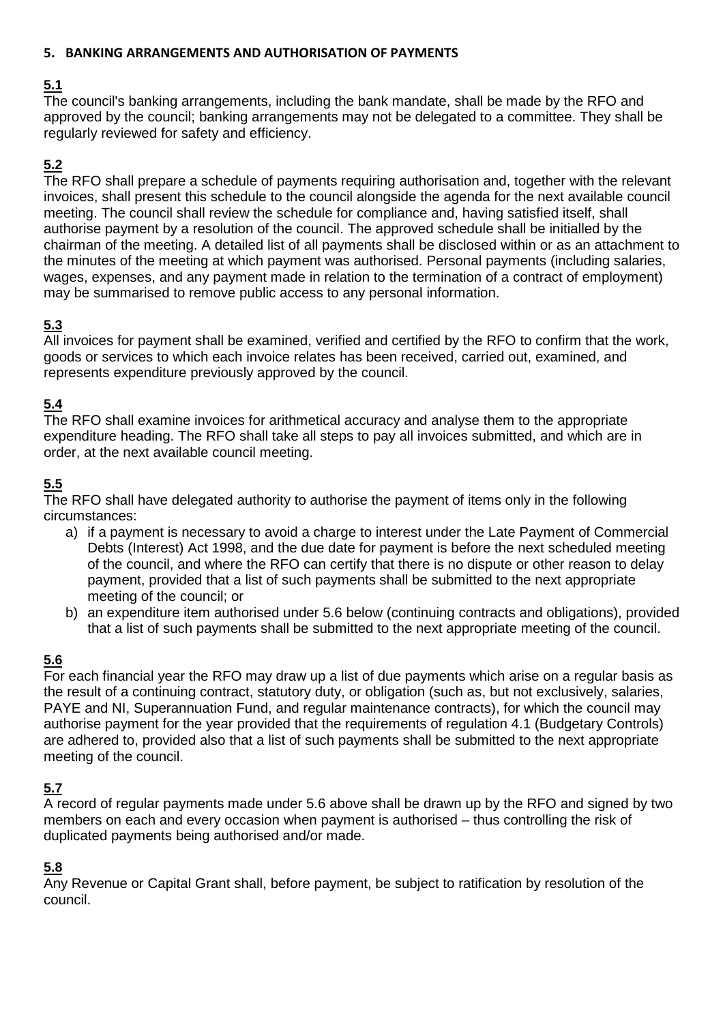#### **5. BANKING ARRANGEMENTS AND AUTHORISATION OF PAYMENTS**

## **5.1**

The council's banking arrangements, including the bank mandate, shall be made by the RFO and approved by the council; banking arrangements may not be delegated to a committee. They shall be regularly reviewed for safety and efficiency.

## **5.2**

The RFO shall prepare a schedule of payments requiring authorisation and, together with the relevant invoices, shall present this schedule to the council alongside the agenda for the next available council meeting. The council shall review the schedule for compliance and, having satisfied itself, shall authorise payment by a resolution of the council. The approved schedule shall be initialled by the chairman of the meeting. A detailed list of all payments shall be disclosed within or as an attachment to the minutes of the meeting at which payment was authorised. Personal payments (including salaries, wages, expenses, and any payment made in relation to the termination of a contract of employment) may be summarised to remove public access to any personal information.

#### **5.3**

All invoices for payment shall be examined, verified and certified by the RFO to confirm that the work, goods or services to which each invoice relates has been received, carried out, examined, and represents expenditure previously approved by the council.

## **5.4**

The RFO shall examine invoices for arithmetical accuracy and analyse them to the appropriate expenditure heading. The RFO shall take all steps to pay all invoices submitted, and which are in order, at the next available council meeting.

#### **5.5**

The RFO shall have delegated authority to authorise the payment of items only in the following circumstances:

- a) if a payment is necessary to avoid a charge to interest under the Late Payment of Commercial Debts (Interest) Act 1998, and the due date for payment is before the next scheduled meeting of the council, and where the RFO can certify that there is no dispute or other reason to delay payment, provided that a list of such payments shall be submitted to the next appropriate meeting of the council; or
- b) an expenditure item authorised under 5.6 below (continuing contracts and obligations), provided that a list of such payments shall be submitted to the next appropriate meeting of the council.

## **5.6**

For each financial year the RFO may draw up a list of due payments which arise on a regular basis as the result of a continuing contract, statutory duty, or obligation (such as, but not exclusively, salaries, PAYE and NI, Superannuation Fund, and regular maintenance contracts), for which the council may authorise payment for the year provided that the requirements of regulation 4.1 (Budgetary Controls) are adhered to, provided also that a list of such payments shall be submitted to the next appropriate meeting of the council.

#### **5.7**

A record of regular payments made under 5.6 above shall be drawn up by the RFO and signed by two members on each and every occasion when payment is authorised – thus controlling the risk of duplicated payments being authorised and/or made.

#### **5.8**

Any Revenue or Capital Grant shall, before payment, be subject to ratification by resolution of the council.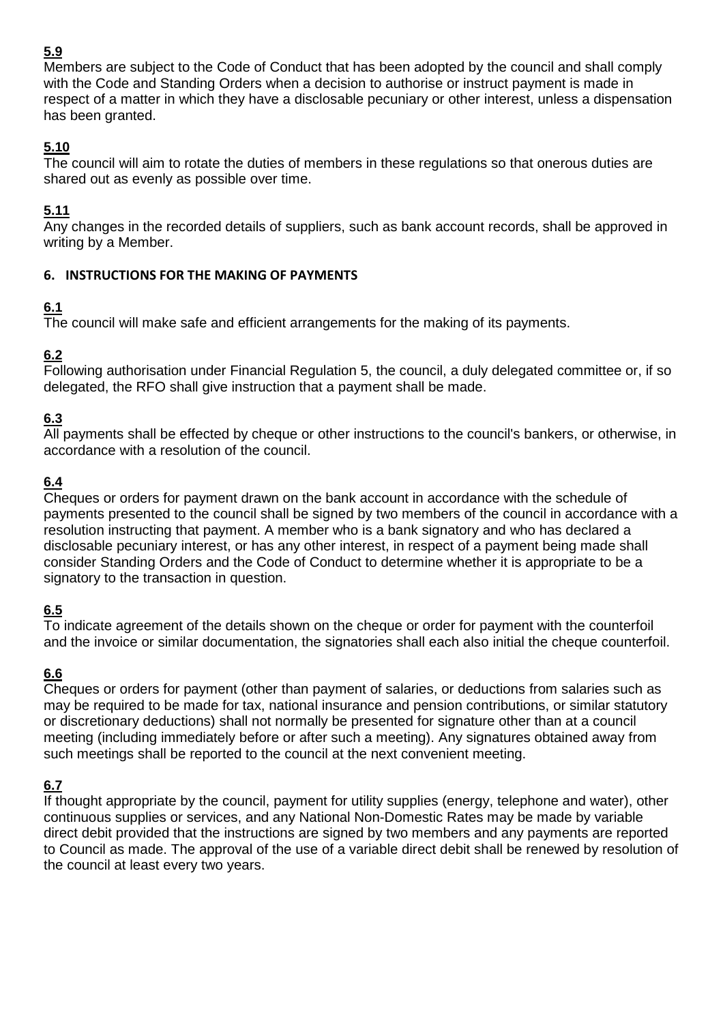Members are subject to the Code of Conduct that has been adopted by the council and shall comply with the Code and Standing Orders when a decision to authorise or instruct payment is made in respect of a matter in which they have a disclosable pecuniary or other interest, unless a dispensation has been granted.

## **5.10**

The council will aim to rotate the duties of members in these regulations so that onerous duties are shared out as evenly as possible over time.

## **5.11**

Any changes in the recorded details of suppliers, such as bank account records, shall be approved in writing by a Member.

#### **6. INSTRUCTIONS FOR THE MAKING OF PAYMENTS**

# **6.1**

The council will make safe and efficient arrangements for the making of its payments.

## **6.2**

Following authorisation under Financial Regulation 5, the council, a duly delegated committee or, if so delegated, the RFO shall give instruction that a payment shall be made.

# **6.3**

All payments shall be effected by cheque or other instructions to the council's bankers, or otherwise, in accordance with a resolution of the council.

## **6.4**

Cheques or orders for payment drawn on the bank account in accordance with the schedule of payments presented to the council shall be signed by two members of the council in accordance with a resolution instructing that payment. A member who is a bank signatory and who has declared a disclosable pecuniary interest, or has any other interest, in respect of a payment being made shall consider Standing Orders and the Code of Conduct to determine whether it is appropriate to be a signatory to the transaction in question.

# **6.5**

To indicate agreement of the details shown on the cheque or order for payment with the counterfoil and the invoice or similar documentation, the signatories shall each also initial the cheque counterfoil.

# **6.6**

Cheques or orders for payment (other than payment of salaries, or deductions from salaries such as may be required to be made for tax, national insurance and pension contributions, or similar statutory or discretionary deductions) shall not normally be presented for signature other than at a council meeting (including immediately before or after such a meeting). Any signatures obtained away from such meetings shall be reported to the council at the next convenient meeting.

# **6.7**

If thought appropriate by the council, payment for utility supplies (energy, telephone and water), other continuous supplies or services, and any National Non-Domestic Rates may be made by variable direct debit provided that the instructions are signed by two members and any payments are reported to Council as made. The approval of the use of a variable direct debit shall be renewed by resolution of the council at least every two years.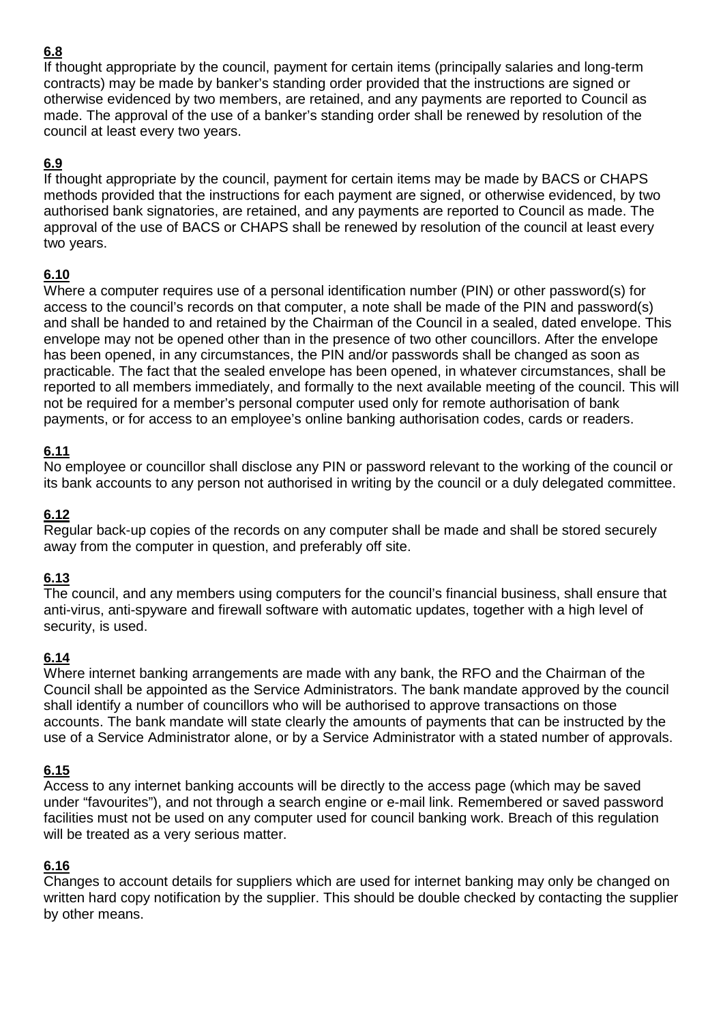If thought appropriate by the council, payment for certain items (principally salaries and long-term contracts) may be made by banker's standing order provided that the instructions are signed or otherwise evidenced by two members, are retained, and any payments are reported to Council as made. The approval of the use of a banker's standing order shall be renewed by resolution of the council at least every two years.

## **6.9**

If thought appropriate by the council, payment for certain items may be made by BACS or CHAPS methods provided that the instructions for each payment are signed, or otherwise evidenced, by two authorised bank signatories, are retained, and any payments are reported to Council as made. The approval of the use of BACS or CHAPS shall be renewed by resolution of the council at least every two years.

#### **6.10**

Where a computer requires use of a personal identification number (PIN) or other password(s) for access to the council's records on that computer, a note shall be made of the PIN and password(s) and shall be handed to and retained by the Chairman of the Council in a sealed, dated envelope. This envelope may not be opened other than in the presence of two other councillors. After the envelope has been opened, in any circumstances, the PIN and/or passwords shall be changed as soon as practicable. The fact that the sealed envelope has been opened, in whatever circumstances, shall be reported to all members immediately, and formally to the next available meeting of the council. This will not be required for a member's personal computer used only for remote authorisation of bank payments, or for access to an employee's online banking authorisation codes, cards or readers.

#### **6.11**

No employee or councillor shall disclose any PIN or password relevant to the working of the council or its bank accounts to any person not authorised in writing by the council or a duly delegated committee.

#### **6.12**

Regular back-up copies of the records on any computer shall be made and shall be stored securely away from the computer in question, and preferably off site.

## **6.13**

The council, and any members using computers for the council's financial business, shall ensure that anti-virus, anti-spyware and firewall software with automatic updates, together with a high level of security, is used.

#### **6.14**

Where internet banking arrangements are made with any bank, the RFO and the Chairman of the Council shall be appointed as the Service Administrators. The bank mandate approved by the council shall identify a number of councillors who will be authorised to approve transactions on those accounts. The bank mandate will state clearly the amounts of payments that can be instructed by the use of a Service Administrator alone, or by a Service Administrator with a stated number of approvals.

## **6.15**

Access to any internet banking accounts will be directly to the access page (which may be saved under "favourites"), and not through a search engine or e-mail link. Remembered or saved password facilities must not be used on any computer used for council banking work. Breach of this regulation will be treated as a very serious matter.

## **6.16**

Changes to account details for suppliers which are used for internet banking may only be changed on written hard copy notification by the supplier. This should be double checked by contacting the supplier by other means.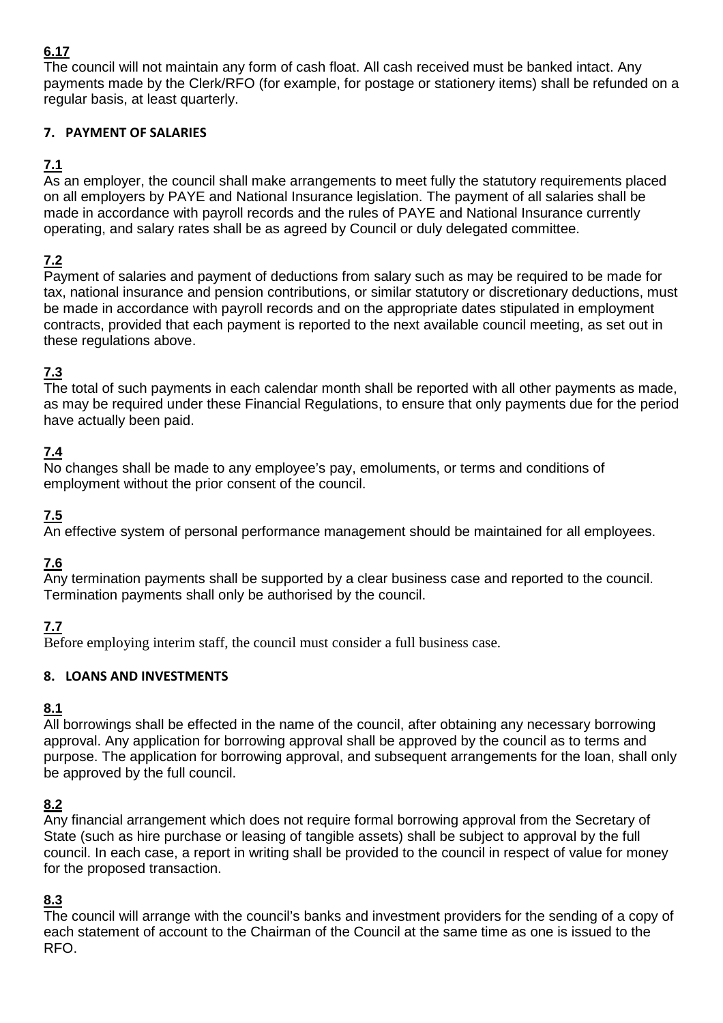The council will not maintain any form of cash float. All cash received must be banked intact. Any payments made by the Clerk/RFO (for example, for postage or stationery items) shall be refunded on a regular basis, at least quarterly.

#### **7. PAYMENT OF SALARIES**

## **7.1**

As an employer, the council shall make arrangements to meet fully the statutory requirements placed on all employers by PAYE and National Insurance legislation. The payment of all salaries shall be made in accordance with payroll records and the rules of PAYE and National Insurance currently operating, and salary rates shall be as agreed by Council or duly delegated committee.

## **7.2**

Payment of salaries and payment of deductions from salary such as may be required to be made for tax, national insurance and pension contributions, or similar statutory or discretionary deductions, must be made in accordance with payroll records and on the appropriate dates stipulated in employment contracts, provided that each payment is reported to the next available council meeting, as set out in these regulations above.

## **7.3**

The total of such payments in each calendar month shall be reported with all other payments as made, as may be required under these Financial Regulations, to ensure that only payments due for the period have actually been paid.

## **7.4**

No changes shall be made to any employee's pay, emoluments, or terms and conditions of employment without the prior consent of the council.

## **7.5**

An effective system of personal performance management should be maintained for all employees.

## **7.6**

Any termination payments shall be supported by a clear business case and reported to the council. Termination payments shall only be authorised by the council.

## **7.7**

Before employing interim staff, the council must consider a full business case.

#### **8. LOANS AND INVESTMENTS**

## **8.1**

All borrowings shall be effected in the name of the council, after obtaining any necessary borrowing approval. Any application for borrowing approval shall be approved by the council as to terms and purpose. The application for borrowing approval, and subsequent arrangements for the loan, shall only be approved by the full council.

#### **8.2**

Any financial arrangement which does not require formal borrowing approval from the Secretary of State (such as hire purchase or leasing of tangible assets) shall be subject to approval by the full council. In each case, a report in writing shall be provided to the council in respect of value for money for the proposed transaction.

## **8.3**

The council will arrange with the council's banks and investment providers for the sending of a copy of each statement of account to the Chairman of the Council at the same time as one is issued to the RFO.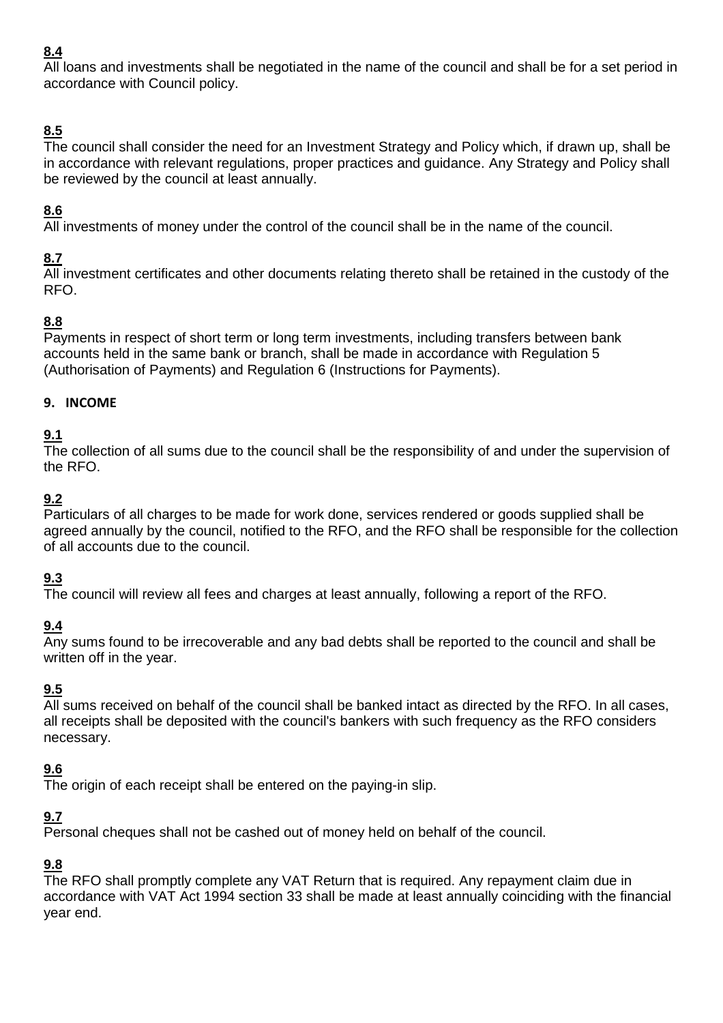All loans and investments shall be negotiated in the name of the council and shall be for a set period in accordance with Council policy.

# **8.5**

The council shall consider the need for an Investment Strategy and Policy which, if drawn up, shall be in accordance with relevant regulations, proper practices and guidance. Any Strategy and Policy shall be reviewed by the council at least annually.

# **8.6**

All investments of money under the control of the council shall be in the name of the council.

## **8.7**

All investment certificates and other documents relating thereto shall be retained in the custody of the RFO.

## **8.8**

Payments in respect of short term or long term investments, including transfers between bank accounts held in the same bank or branch, shall be made in accordance with Regulation 5 (Authorisation of Payments) and Regulation 6 (Instructions for Payments).

#### **9. INCOME**

## **9.1**

The collection of all sums due to the council shall be the responsibility of and under the supervision of the RFO.

## **9.2**

Particulars of all charges to be made for work done, services rendered or goods supplied shall be agreed annually by the council, notified to the RFO, and the RFO shall be responsible for the collection of all accounts due to the council.

# **9.3**

The council will review all fees and charges at least annually, following a report of the RFO.

## **9.4**

Any sums found to be irrecoverable and any bad debts shall be reported to the council and shall be written off in the year.

## **9.5**

All sums received on behalf of the council shall be banked intact as directed by the RFO. In all cases, all receipts shall be deposited with the council's bankers with such frequency as the RFO considers necessary.

## **9.6**

The origin of each receipt shall be entered on the paying-in slip.

# **9.7**

Personal cheques shall not be cashed out of money held on behalf of the council.

# **9.8**

The RFO shall promptly complete any VAT Return that is required. Any repayment claim due in accordance with VAT Act 1994 section 33 shall be made at least annually coinciding with the financial year end.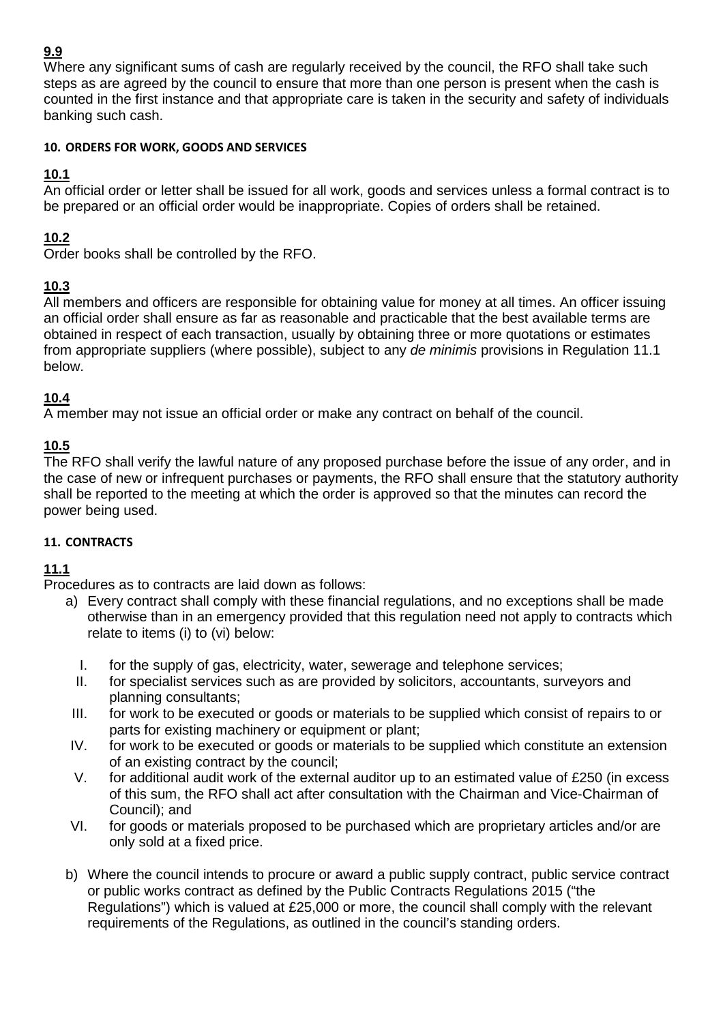Where any significant sums of cash are regularly received by the council, the RFO shall take such steps as are agreed by the council to ensure that more than one person is present when the cash is counted in the first instance and that appropriate care is taken in the security and safety of individuals banking such cash.

#### **10. ORDERS FOR WORK, GOODS AND SERVICES**

#### **10.1**

An official order or letter shall be issued for all work, goods and services unless a formal contract is to be prepared or an official order would be inappropriate. Copies of orders shall be retained.

#### **10.2**

Order books shall be controlled by the RFO.

#### **10.3**

All members and officers are responsible for obtaining value for money at all times. An officer issuing an official order shall ensure as far as reasonable and practicable that the best available terms are obtained in respect of each transaction, usually by obtaining three or more quotations or estimates from appropriate suppliers (where possible), subject to any de minimis provisions in Regulation 11.1 below.

#### **10.4**

A member may not issue an official order or make any contract on behalf of the council.

#### **10.5**

The RFO shall verify the lawful nature of any proposed purchase before the issue of any order, and in the case of new or infrequent purchases or payments, the RFO shall ensure that the statutory authority shall be reported to the meeting at which the order is approved so that the minutes can record the power being used.

#### **11. CONTRACTS**

#### **11.1**

Procedures as to contracts are laid down as follows:

- a) Every contract shall comply with these financial regulations, and no exceptions shall be made otherwise than in an emergency provided that this regulation need not apply to contracts which relate to items (i) to (vi) below:
	- I. for the supply of gas, electricity, water, sewerage and telephone services;
	- II. for specialist services such as are provided by solicitors, accountants, surveyors and planning consultants;
- III. for work to be executed or goods or materials to be supplied which consist of repairs to or parts for existing machinery or equipment or plant:
- IV. for work to be executed or goods or materials to be supplied which constitute an extension of an existing contract by the council;
- V. for additional audit work of the external auditor up to an estimated value of £250 (in excess of this sum, the RFO shall act after consultation with the Chairman and Vice-Chairman of Council); and
- VI. for goods or materials proposed to be purchased which are proprietary articles and/or are only sold at a fixed price.
- b) Where the council intends to procure or award a public supply contract, public service contract or public works contract as defined by the Public Contracts Regulations 2015 ("the Regulations") which is valued at £25,000 or more, the council shall comply with the relevant requirements of the Regulations, as outlined in the council's standing orders.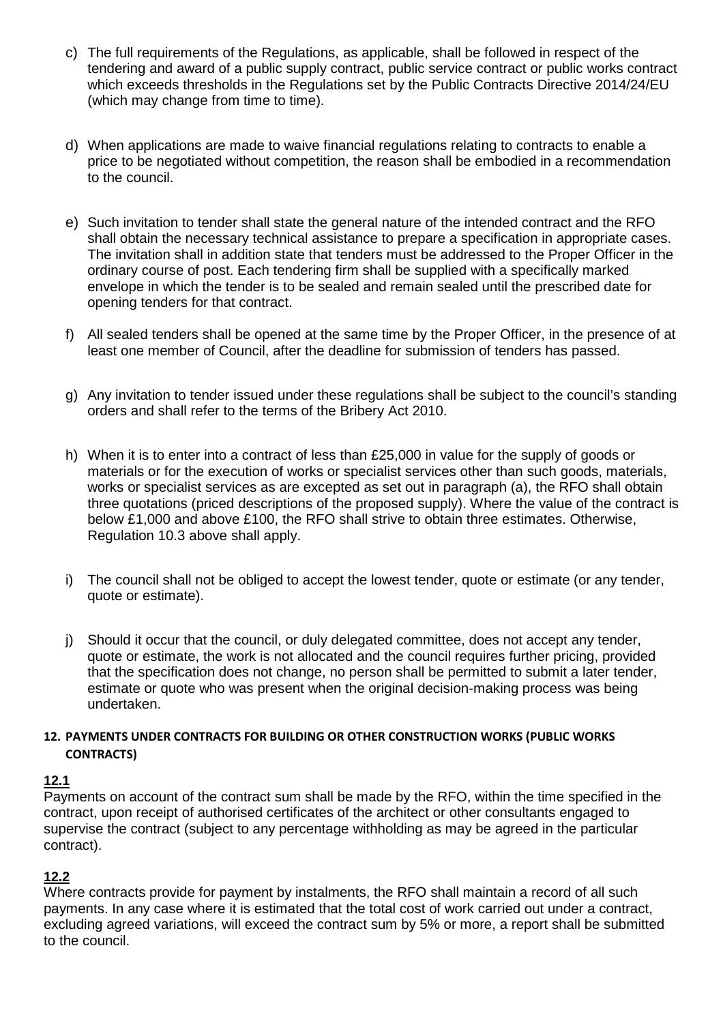- c) The full requirements of the Regulations, as applicable, shall be followed in respect of the tendering and award of a public supply contract, public service contract or public works contract which exceeds thresholds in the Regulations set by the Public Contracts Directive 2014/24/EU (which may change from time to time).
- d) When applications are made to waive financial regulations relating to contracts to enable a price to be negotiated without competition, the reason shall be embodied in a recommendation to the council.
- e) Such invitation to tender shall state the general nature of the intended contract and the RFO shall obtain the necessary technical assistance to prepare a specification in appropriate cases. The invitation shall in addition state that tenders must be addressed to the Proper Officer in the ordinary course of post. Each tendering firm shall be supplied with a specifically marked envelope in which the tender is to be sealed and remain sealed until the prescribed date for opening tenders for that contract.
- f) All sealed tenders shall be opened at the same time by the Proper Officer, in the presence of at least one member of Council, after the deadline for submission of tenders has passed.
- g) Any invitation to tender issued under these regulations shall be subject to the council's standing orders and shall refer to the terms of the Bribery Act 2010.
- h) When it is to enter into a contract of less than £25,000 in value for the supply of goods or materials or for the execution of works or specialist services other than such goods, materials, works or specialist services as are excepted as set out in paragraph (a), the RFO shall obtain three quotations (priced descriptions of the proposed supply). Where the value of the contract is below £1,000 and above £100, the RFO shall strive to obtain three estimates. Otherwise, Regulation 10.3 above shall apply.
- i) The council shall not be obliged to accept the lowest tender, quote or estimate (or any tender, quote or estimate).
- j) Should it occur that the council, or duly delegated committee, does not accept any tender, quote or estimate, the work is not allocated and the council requires further pricing, provided that the specification does not change, no person shall be permitted to submit a later tender, estimate or quote who was present when the original decision-making process was being undertaken.

#### **12. PAYMENTS UNDER CONTRACTS FOR BUILDING OR OTHER CONSTRUCTION WORKS (PUBLIC WORKS CONTRACTS)**

#### **12.1**

Payments on account of the contract sum shall be made by the RFO, within the time specified in the contract, upon receipt of authorised certificates of the architect or other consultants engaged to supervise the contract (subject to any percentage withholding as may be agreed in the particular contract).

## **12.2**

Where contracts provide for payment by instalments, the RFO shall maintain a record of all such payments. In any case where it is estimated that the total cost of work carried out under a contract, excluding agreed variations, will exceed the contract sum by 5% or more, a report shall be submitted to the council.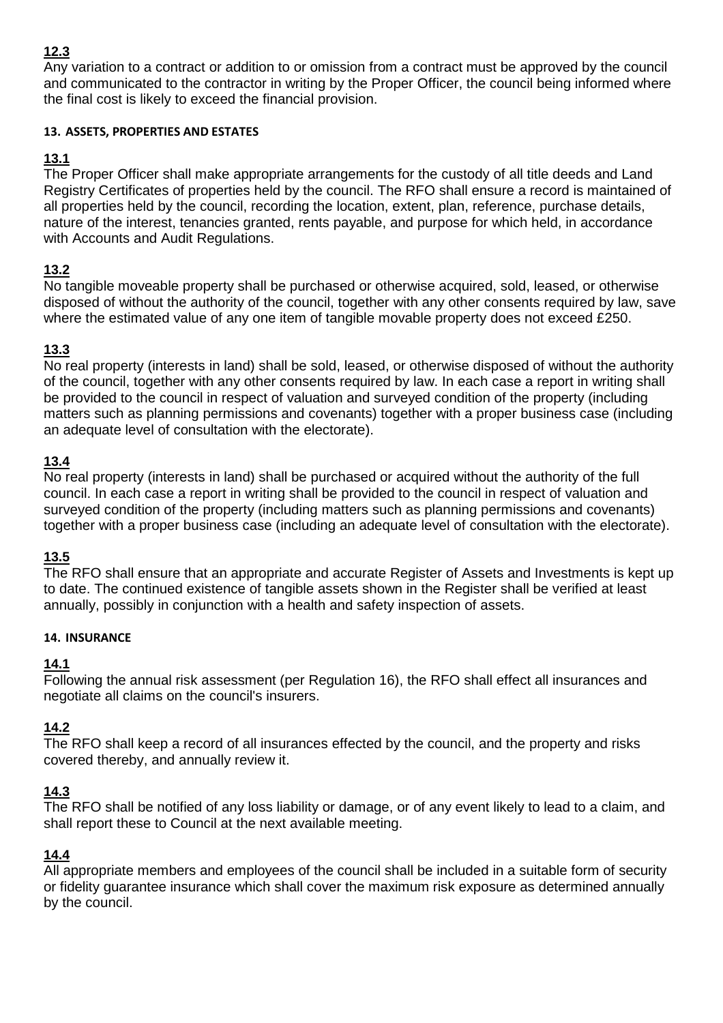Any variation to a contract or addition to or omission from a contract must be approved by the council and communicated to the contractor in writing by the Proper Officer, the council being informed where the final cost is likely to exceed the financial provision.

#### **13. ASSETS, PROPERTIES AND ESTATES**

## **13.1**

The Proper Officer shall make appropriate arrangements for the custody of all title deeds and Land Registry Certificates of properties held by the council. The RFO shall ensure a record is maintained of all properties held by the council, recording the location, extent, plan, reference, purchase details, nature of the interest, tenancies granted, rents payable, and purpose for which held, in accordance with Accounts and Audit Regulations.

## **13.2**

No tangible moveable property shall be purchased or otherwise acquired, sold, leased, or otherwise disposed of without the authority of the council, together with any other consents required by law, save where the estimated value of any one item of tangible movable property does not exceed £250.

## **13.3**

No real property (interests in land) shall be sold, leased, or otherwise disposed of without the authority of the council, together with any other consents required by law. In each case a report in writing shall be provided to the council in respect of valuation and surveyed condition of the property (including matters such as planning permissions and covenants) together with a proper business case (including an adequate level of consultation with the electorate).

## **13.4**

No real property (interests in land) shall be purchased or acquired without the authority of the full council. In each case a report in writing shall be provided to the council in respect of valuation and surveyed condition of the property (including matters such as planning permissions and covenants) together with a proper business case (including an adequate level of consultation with the electorate).

## **13.5**

The RFO shall ensure that an appropriate and accurate Register of Assets and Investments is kept up to date. The continued existence of tangible assets shown in the Register shall be verified at least annually, possibly in conjunction with a health and safety inspection of assets.

#### **14. INSURANCE**

## **14.1**

Following the annual risk assessment (per Regulation 16), the RFO shall effect all insurances and negotiate all claims on the council's insurers.

## **14.2**

The RFO shall keep a record of all insurances effected by the council, and the property and risks covered thereby, and annually review it.

## **14.3**

The RFO shall be notified of any loss liability or damage, or of any event likely to lead to a claim, and shall report these to Council at the next available meeting.

# **14.4**

All appropriate members and employees of the council shall be included in a suitable form of security or fidelity guarantee insurance which shall cover the maximum risk exposure as determined annually by the council.